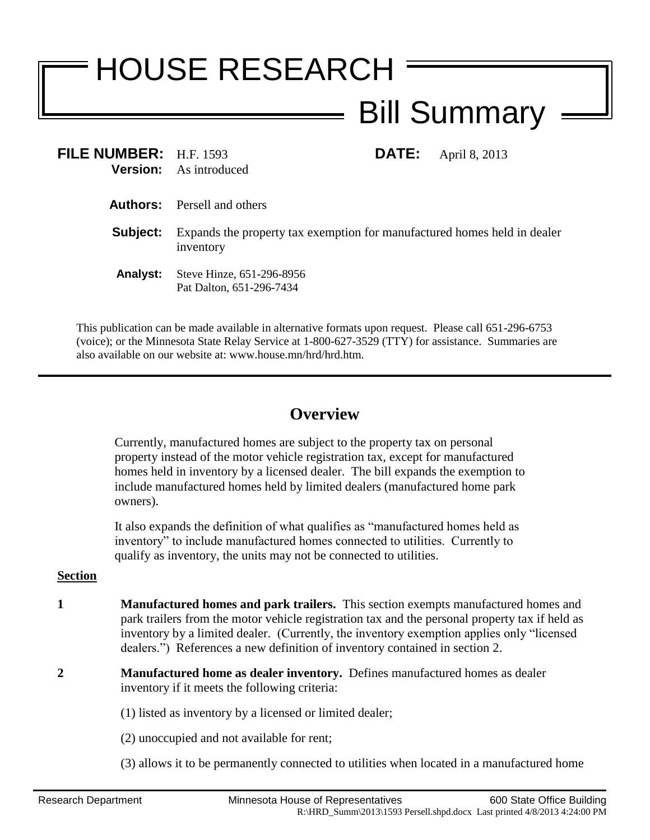## HOUSE RESEARCH Bill Summary

| FILE NUMBER: H.F. 1593 | <b>DATE:</b><br>April 8, 2013<br><b>Version:</b> As introduced                        |
|------------------------|---------------------------------------------------------------------------------------|
|                        | <b>Authors:</b> Persell and others                                                    |
| Subject:               | Expands the property tax exemption for manufactured homes held in dealer<br>inventory |
| <b>Analyst:</b>        | Steve Hinze, 651-296-8956<br>Pat Dalton, 651-296-7434                                 |

This publication can be made available in alternative formats upon request. Please call 651-296-6753 (voice); or the Minnesota State Relay Service at 1-800-627-3529 (TTY) for assistance. Summaries are also available on our website at: www.house.mn/hrd/hrd.htm.

## **Overview**

Currently, manufactured homes are subject to the property tax on personal property instead of the motor vehicle registration tax, except for manufactured homes held in inventory by a licensed dealer. The bill expands the exemption to include manufactured homes held by limited dealers (manufactured home park owners).

It also expands the definition of what qualifies as "manufactured homes held as inventory" to include manufactured homes connected to utilities. Currently to qualify as inventory, the units may not be connected to utilities.

## **Section**

- **1 Manufactured homes and park trailers.** This section exempts manufactured homes and park trailers from the motor vehicle registration tax and the personal property tax if held as inventory by a limited dealer. (Currently, the inventory exemption applies only "licensed dealers.") References a new definition of inventory contained in section [2.](#page-0-0)
- <span id="page-0-0"></span>**2 Manufactured home as dealer inventory.** Defines manufactured homes as dealer inventory if it meets the following criteria:
	- (1) listed as inventory by a licensed or limited dealer;
	- (2) unoccupied and not available for rent;
	- (3) allows it to be permanently connected to utilities when located in a manufactured home